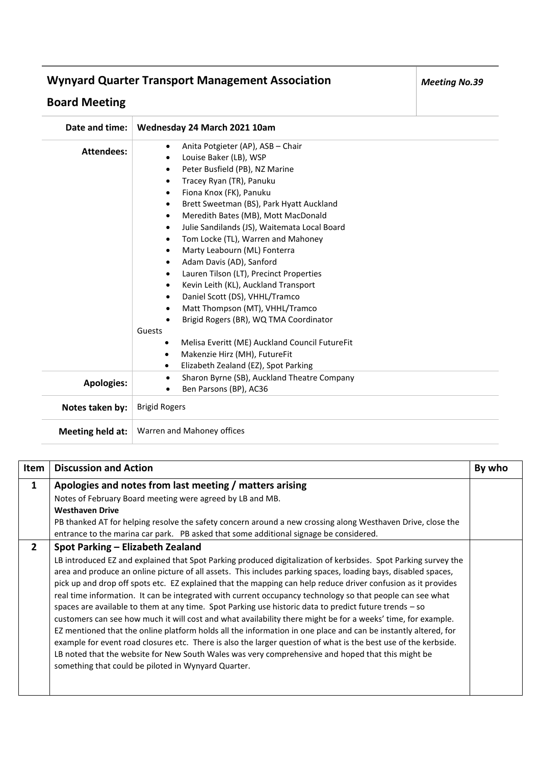## **Wynyard Quarter Transport Management Association**

## **Board Meeting**

| Date and time:    | Wednesday 24 March 2021 10am                                                                                                                                                                                                                                                                                                                                                                                                                                                                                                                                                                                                                                                                                                                                                                                                                                            |
|-------------------|-------------------------------------------------------------------------------------------------------------------------------------------------------------------------------------------------------------------------------------------------------------------------------------------------------------------------------------------------------------------------------------------------------------------------------------------------------------------------------------------------------------------------------------------------------------------------------------------------------------------------------------------------------------------------------------------------------------------------------------------------------------------------------------------------------------------------------------------------------------------------|
| <b>Attendees:</b> | Anita Potgieter (AP), ASB - Chair<br>$\bullet$<br>Louise Baker (LB), WSP<br>$\bullet$<br>Peter Busfield (PB), NZ Marine<br>$\bullet$<br>Tracey Ryan (TR), Panuku<br>$\bullet$<br>Fiona Knox (FK), Panuku<br>$\bullet$<br>Brett Sweetman (BS), Park Hyatt Auckland<br>Meredith Bates (MB), Mott MacDonald<br>Julie Sandilands (JS), Waitemata Local Board<br>$\bullet$<br>Tom Locke (TL), Warren and Mahoney<br>$\bullet$<br>Marty Leabourn (ML) Fonterra<br>Adam Davis (AD), Sanford<br>Lauren Tilson (LT), Precinct Properties<br>Kevin Leith (KL), Auckland Transport<br>Daniel Scott (DS), VHHL/Tramco<br>Matt Thompson (MT), VHHL/Tramco<br>٠<br>Brigid Rogers (BR), WQ TMA Coordinator<br>Guests<br>Melisa Everitt (ME) Auckland Council FutureFit<br>$\bullet$<br>Makenzie Hirz (MH), FutureFit<br>$\bullet$<br>Elizabeth Zealand (EZ), Spot Parking<br>$\bullet$ |
| <b>Apologies:</b> | Sharon Byrne (SB), Auckland Theatre Company<br>$\bullet$<br>Ben Parsons (BP), AC36                                                                                                                                                                                                                                                                                                                                                                                                                                                                                                                                                                                                                                                                                                                                                                                      |
| Notes taken by:   | <b>Brigid Rogers</b>                                                                                                                                                                                                                                                                                                                                                                                                                                                                                                                                                                                                                                                                                                                                                                                                                                                    |
| Meeting held at:  | Warren and Mahoney offices                                                                                                                                                                                                                                                                                                                                                                                                                                                                                                                                                                                                                                                                                                                                                                                                                                              |

| Item           | <b>Discussion and Action</b>                                                                                                                                                                                                                                                                                                                                                                                                                                                                                                                                                                                                                                                                                                                                                                                                                                                                                                                                                                                                                                                                                                    | By who |
|----------------|---------------------------------------------------------------------------------------------------------------------------------------------------------------------------------------------------------------------------------------------------------------------------------------------------------------------------------------------------------------------------------------------------------------------------------------------------------------------------------------------------------------------------------------------------------------------------------------------------------------------------------------------------------------------------------------------------------------------------------------------------------------------------------------------------------------------------------------------------------------------------------------------------------------------------------------------------------------------------------------------------------------------------------------------------------------------------------------------------------------------------------|--------|
| 1              | Apologies and notes from last meeting / matters arising<br>Notes of February Board meeting were agreed by LB and MB.<br><b>Westhaven Drive</b><br>PB thanked AT for helping resolve the safety concern around a new crossing along Westhaven Drive, close the<br>entrance to the marina car park. PB asked that some additional signage be considered.                                                                                                                                                                                                                                                                                                                                                                                                                                                                                                                                                                                                                                                                                                                                                                          |        |
| $\overline{2}$ | Spot Parking - Elizabeth Zealand<br>LB introduced EZ and explained that Spot Parking produced digitalization of kerbsides. Spot Parking survey the<br>area and produce an online picture of all assets. This includes parking spaces, loading bays, disabled spaces,<br>pick up and drop off spots etc. EZ explained that the mapping can help reduce driver confusion as it provides<br>real time information. It can be integrated with current occupancy technology so that people can see what<br>spaces are available to them at any time. Spot Parking use historic data to predict future trends $-$ so<br>customers can see how much it will cost and what availability there might be for a weeks' time, for example.<br>EZ mentioned that the online platform holds all the information in one place and can be instantly altered, for<br>example for event road closures etc. There is also the larger question of what is the best use of the kerbside.<br>LB noted that the website for New South Wales was very comprehensive and hoped that this might be<br>something that could be piloted in Wynyard Quarter. |        |

*Meeting No.39*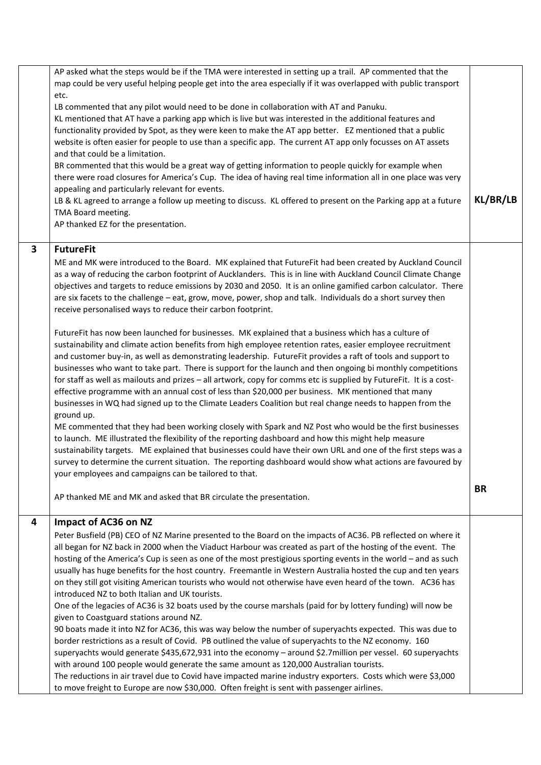|   | AP asked what the steps would be if the TMA were interested in setting up a trail. AP commented that the                                                                                                         |           |
|---|------------------------------------------------------------------------------------------------------------------------------------------------------------------------------------------------------------------|-----------|
|   | map could be very useful helping people get into the area especially if it was overlapped with public transport                                                                                                  |           |
|   | etc.                                                                                                                                                                                                             |           |
|   | LB commented that any pilot would need to be done in collaboration with AT and Panuku.                                                                                                                           |           |
|   | KL mentioned that AT have a parking app which is live but was interested in the additional features and                                                                                                          |           |
|   | functionality provided by Spot, as they were keen to make the AT app better. EZ mentioned that a public                                                                                                          |           |
|   | website is often easier for people to use than a specific app. The current AT app only focusses on AT assets                                                                                                     |           |
|   | and that could be a limitation.                                                                                                                                                                                  |           |
|   |                                                                                                                                                                                                                  |           |
|   | BR commented that this would be a great way of getting information to people quickly for example when                                                                                                            |           |
|   | there were road closures for America's Cup. The idea of having real time information all in one place was very                                                                                                   |           |
|   | appealing and particularly relevant for events.                                                                                                                                                                  | KL/BR/LB  |
|   | LB & KL agreed to arrange a follow up meeting to discuss. KL offered to present on the Parking app at a future                                                                                                   |           |
|   | TMA Board meeting.                                                                                                                                                                                               |           |
|   | AP thanked EZ for the presentation.                                                                                                                                                                              |           |
|   |                                                                                                                                                                                                                  |           |
| 3 | <b>FutureFit</b>                                                                                                                                                                                                 |           |
|   | ME and MK were introduced to the Board. MK explained that FutureFit had been created by Auckland Council                                                                                                         |           |
|   | as a way of reducing the carbon footprint of Aucklanders. This is in line with Auckland Council Climate Change                                                                                                   |           |
|   | objectives and targets to reduce emissions by 2030 and 2050. It is an online gamified carbon calculator. There                                                                                                   |           |
|   | are six facets to the challenge - eat, grow, move, power, shop and talk. Individuals do a short survey then                                                                                                      |           |
|   | receive personalised ways to reduce their carbon footprint.                                                                                                                                                      |           |
|   |                                                                                                                                                                                                                  |           |
|   | FutureFit has now been launched for businesses. MK explained that a business which has a culture of                                                                                                              |           |
|   | sustainability and climate action benefits from high employee retention rates, easier employee recruitment                                                                                                       |           |
|   | and customer buy-in, as well as demonstrating leadership. FutureFit provides a raft of tools and support to                                                                                                      |           |
|   | businesses who want to take part. There is support for the launch and then ongoing bi monthly competitions                                                                                                       |           |
|   | for staff as well as mailouts and prizes - all artwork, copy for comms etc is supplied by FutureFit. It is a cost-                                                                                               |           |
|   | effective programme with an annual cost of less than \$20,000 per business. MK mentioned that many                                                                                                               |           |
|   | businesses in WQ had signed up to the Climate Leaders Coalition but real change needs to happen from the                                                                                                         |           |
|   | ground up.                                                                                                                                                                                                       |           |
|   |                                                                                                                                                                                                                  |           |
|   | ME commented that they had been working closely with Spark and NZ Post who would be the first businesses<br>to launch. ME illustrated the flexibility of the reporting dashboard and how this might help measure |           |
|   | sustainability targets. ME explained that businesses could have their own URL and one of the first steps was a                                                                                                   |           |
|   |                                                                                                                                                                                                                  |           |
|   | survey to determine the current situation. The reporting dashboard would show what actions are favoured by                                                                                                       |           |
|   | your employees and campaigns can be tailored to that.                                                                                                                                                            |           |
|   |                                                                                                                                                                                                                  | <b>BR</b> |
|   | AP thanked ME and MK and asked that BR circulate the presentation.                                                                                                                                               |           |
|   |                                                                                                                                                                                                                  |           |
| 4 | Impact of AC36 on NZ                                                                                                                                                                                             |           |
|   | Peter Busfield (PB) CEO of NZ Marine presented to the Board on the impacts of AC36. PB reflected on where it                                                                                                     |           |
|   | all began for NZ back in 2000 when the Viaduct Harbour was created as part of the hosting of the event. The                                                                                                      |           |
|   | hosting of the America's Cup is seen as one of the most prestigious sporting events in the world - and as such                                                                                                   |           |
|   | usually has huge benefits for the host country. Freemantle in Western Australia hosted the cup and ten years                                                                                                     |           |
|   | on they still got visiting American tourists who would not otherwise have even heard of the town. AC36 has                                                                                                       |           |
|   | introduced NZ to both Italian and UK tourists.                                                                                                                                                                   |           |
|   | One of the legacies of AC36 is 32 boats used by the course marshals (paid for by lottery funding) will now be                                                                                                    |           |
|   | given to Coastguard stations around NZ.                                                                                                                                                                          |           |
|   | 90 boats made it into NZ for AC36, this was way below the number of superyachts expected. This was due to                                                                                                        |           |
|   | border restrictions as a result of Covid. PB outlined the value of superyachts to the NZ economy. 160                                                                                                            |           |
|   | superyachts would generate \$435,672,931 into the economy - around \$2.7 million per vessel. 60 superyachts                                                                                                      |           |
|   | with around 100 people would generate the same amount as 120,000 Australian tourists.                                                                                                                            |           |
|   | The reductions in air travel due to Covid have impacted marine industry exporters. Costs which were \$3,000                                                                                                      |           |
|   | to move freight to Europe are now \$30,000. Often freight is sent with passenger airlines.                                                                                                                       |           |
|   |                                                                                                                                                                                                                  |           |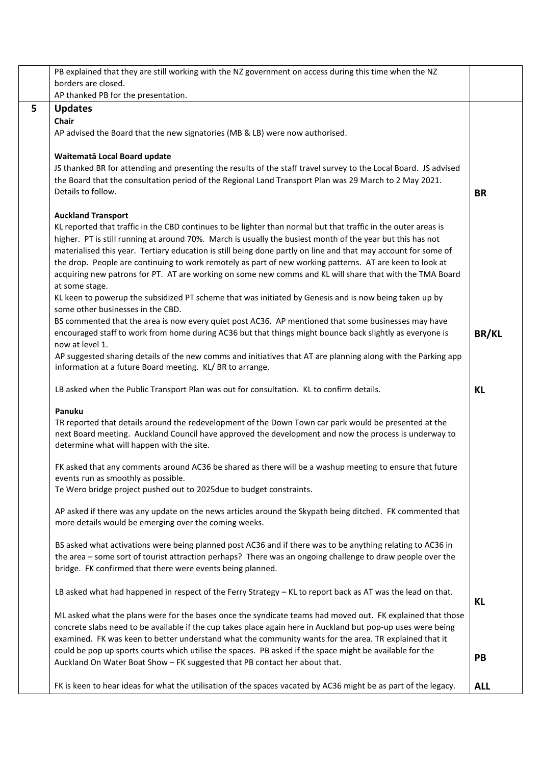|   | PB explained that they are still working with the NZ government on access during this time when the NZ                                                                                                          |              |
|---|-----------------------------------------------------------------------------------------------------------------------------------------------------------------------------------------------------------------|--------------|
|   | borders are closed.                                                                                                                                                                                             |              |
|   | AP thanked PB for the presentation.                                                                                                                                                                             |              |
| 5 | <b>Updates</b>                                                                                                                                                                                                  |              |
|   | Chair                                                                                                                                                                                                           |              |
|   | AP advised the Board that the new signatories (MB & LB) were now authorised.                                                                                                                                    |              |
|   |                                                                                                                                                                                                                 |              |
|   | Waitematā Local Board update                                                                                                                                                                                    |              |
|   | JS thanked BR for attending and presenting the results of the staff travel survey to the Local Board. JS advised                                                                                                |              |
|   | the Board that the consultation period of the Regional Land Transport Plan was 29 March to 2 May 2021.<br>Details to follow.                                                                                    |              |
|   |                                                                                                                                                                                                                 | <b>BR</b>    |
|   | <b>Auckland Transport</b>                                                                                                                                                                                       |              |
|   | KL reported that traffic in the CBD continues to be lighter than normal but that traffic in the outer areas is                                                                                                  |              |
|   | higher. PT is still running at around 70%. March is usually the busiest month of the year but this has not                                                                                                      |              |
|   | materialised this year. Tertiary education is still being done partly on line and that may account for some of                                                                                                  |              |
|   | the drop. People are continuing to work remotely as part of new working patterns. AT are keen to look at                                                                                                        |              |
|   | acquiring new patrons for PT. AT are working on some new comms and KL will share that with the TMA Board                                                                                                        |              |
|   | at some stage.                                                                                                                                                                                                  |              |
|   | KL keen to powerup the subsidized PT scheme that was initiated by Genesis and is now being taken up by                                                                                                          |              |
|   | some other businesses in the CBD.                                                                                                                                                                               |              |
|   | BS commented that the area is now every quiet post AC36. AP mentioned that some businesses may have<br>encouraged staff to work from home during AC36 but that things might bounce back slightly as everyone is |              |
|   | now at level 1.                                                                                                                                                                                                 | <b>BR/KL</b> |
|   | AP suggested sharing details of the new comms and initiatives that AT are planning along with the Parking app                                                                                                   |              |
|   | information at a future Board meeting. KL/BR to arrange.                                                                                                                                                        |              |
|   |                                                                                                                                                                                                                 |              |
|   | LB asked when the Public Transport Plan was out for consultation. KL to confirm details.                                                                                                                        | KL           |
|   | Panuku                                                                                                                                                                                                          |              |
|   | TR reported that details around the redevelopment of the Down Town car park would be presented at the                                                                                                           |              |
|   | next Board meeting. Auckland Council have approved the development and now the process is underway to                                                                                                           |              |
|   | determine what will happen with the site.                                                                                                                                                                       |              |
|   |                                                                                                                                                                                                                 |              |
|   | FK asked that any comments around AC36 be shared as there will be a washup meeting to ensure that future                                                                                                        |              |
|   | events run as smoothly as possible.<br>Te Wero bridge project pushed out to 2025due to budget constraints.                                                                                                      |              |
|   |                                                                                                                                                                                                                 |              |
|   | AP asked if there was any update on the news articles around the Skypath being ditched. FK commented that                                                                                                       |              |
|   | more details would be emerging over the coming weeks.                                                                                                                                                           |              |
|   |                                                                                                                                                                                                                 |              |
|   | BS asked what activations were being planned post AC36 and if there was to be anything relating to AC36 in                                                                                                      |              |
|   | the area - some sort of tourist attraction perhaps? There was an ongoing challenge to draw people over the<br>bridge. FK confirmed that there were events being planned.                                        |              |
|   |                                                                                                                                                                                                                 |              |
|   | LB asked what had happened in respect of the Ferry Strategy - KL to report back as AT was the lead on that.                                                                                                     |              |
|   |                                                                                                                                                                                                                 | KL           |
|   | ML asked what the plans were for the bases once the syndicate teams had moved out. FK explained that those                                                                                                      |              |
|   | concrete slabs need to be available if the cup takes place again here in Auckland but pop-up uses were being                                                                                                    |              |
|   | examined. FK was keen to better understand what the community wants for the area. TR explained that it                                                                                                          |              |
|   | could be pop up sports courts which utilise the spaces. PB asked if the space might be available for the                                                                                                        | PB           |
|   | Auckland On Water Boat Show - FK suggested that PB contact her about that.                                                                                                                                      |              |
|   |                                                                                                                                                                                                                 |              |
|   | FK is keen to hear ideas for what the utilisation of the spaces vacated by AC36 might be as part of the legacy.                                                                                                 | <b>ALL</b>   |